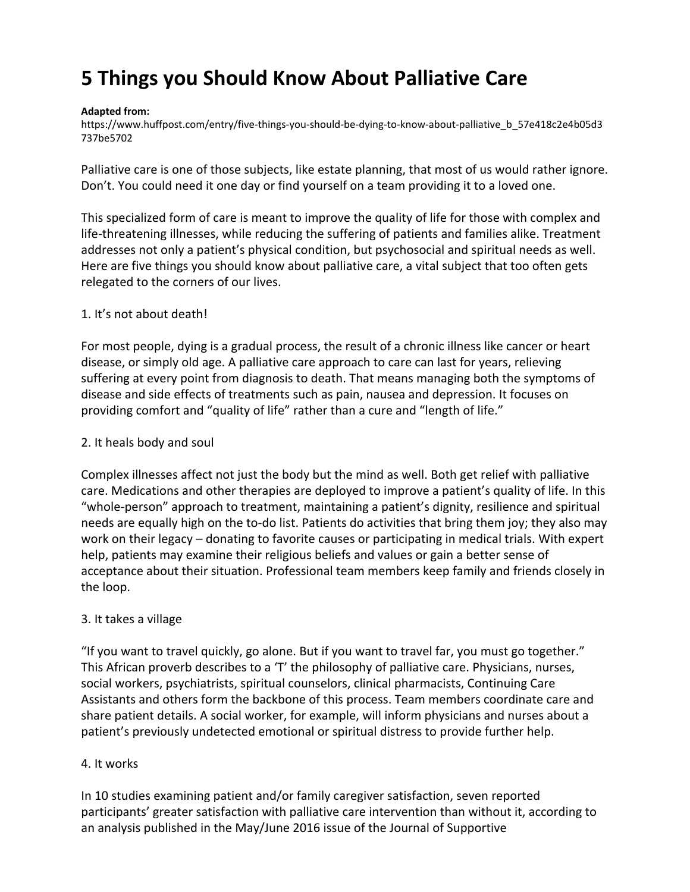# **5 Things you Should Know About Palliative Care**

#### **Adapted from:**

[https://www.huffpost.com/entry/five-things-you-should-be-dying-to-know-about-palliative\\_b\\_57e418c2e4b05d3](https://www.huffpost.com/entry/five-things-you-should-be-dying-to-know-about-palliative_b_57e418c2e4b05d3737be5702) [737be5702](https://www.huffpost.com/entry/five-things-you-should-be-dying-to-know-about-palliative_b_57e418c2e4b05d3737be5702)

Palliative care is one of those subjects, like estate planning, that most of us would rather ignore. Don't. You could need it one day or find yourself on a team providing it to a loved one.

This specialized form of care is meant to improve the quality of life for those with complex and life-threatening illnesses, while reducing the suffering of patients and families alike. Treatment addresses not only a patient's physical condition, but psychosocial and spiritual needs as well. Here are five things you should know about palliative care, a vital subject that too often gets relegated to the corners of our lives.

## 1. It's not about death!

For most people, dying is a gradual process, the result of a chronic illness like cancer or heart disease, or simply old age. A palliative care approach to care can last for years, relieving suffering at every point from diagnosis to death. That means managing both the symptoms of disease and side effects of treatments such as pain, nausea and depression. It focuses on providing comfort and "quality of life" rather than a cure and "length of life."

### 2. It heals body and soul

Complex illnesses affect not just the body but the mind as well. Both get relief with palliative care. Medications and other therapies are deployed to improve a patient's quality of life. In this "whole-person" approach to treatment, maintaining a patient's dignity, resilience and spiritual needs are equally high on the to-do list. Patients do activities that bring them joy; they also may work on their legacy – donating to favorite causes or participating in medical trials. With expert help, patients may examine their religious beliefs and values or gain a better sense of acceptance about their situation. Professional team members keep family and friends closely in the loop.

## 3. It takes a village

"If you want to travel quickly, go alone. But if you want to travel far, you must go together." This African proverb describes to a 'T' the philosophy of palliative care. Physicians, nurses, social workers, psychiatrists, spiritual counselors, clinical pharmacists, Continuing Care Assistants and others form the backbone of this process. Team members coordinate care and share patient details. A social worker, for example, will inform physicians and nurses about a patient's previously undetected emotional or spiritual distress to provide further help.

## 4. It works

In 10 studies examining patient and/or family caregiver satisfaction, seven reported participants' greater satisfaction with palliative care intervention than without it, according to an analysis published in the May/June 2016 issue of the Journal of Supportive